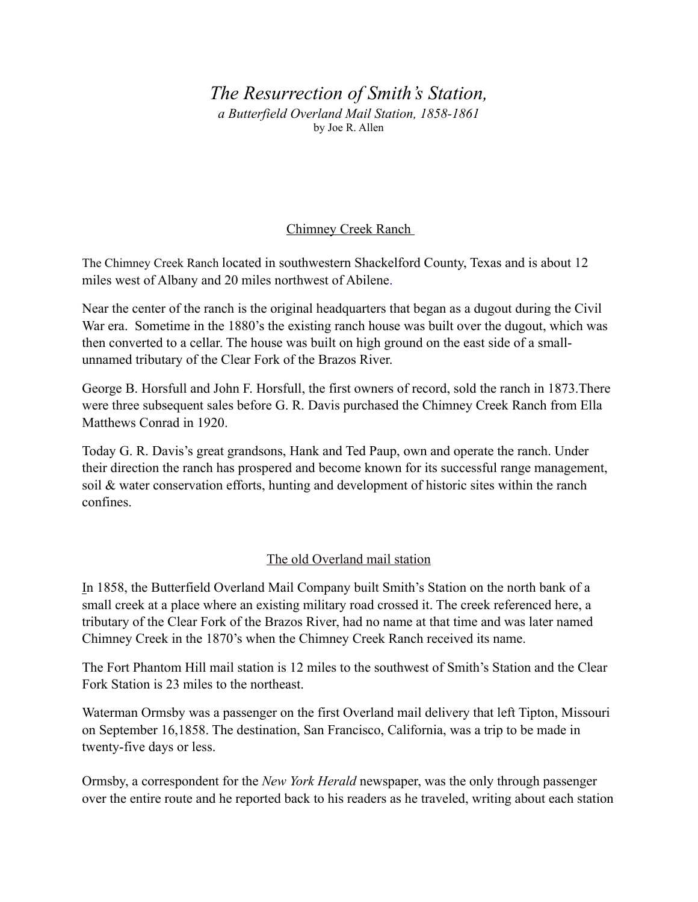# *The Resurrection of Smith's Station, a Butterfield Overland Mail Station, 1858-1861* by Joe R. Allen

## Chimney Creek Ranch

The Chimney Creek Ranch located in southwestern Shackelford County, Texas and is about 12 miles west of Albany and 20 miles northwest of Abilene.

Near the center of the ranch is the original headquarters that began as a dugout during the Civil War era. Sometime in the 1880's the existing ranch house was built over the dugout, which was then converted to a cellar. The house was built on high ground on the east side of a smallunnamed tributary of the Clear Fork of the Brazos River.

George B. Horsfull and John F. Horsfull, the first owners of record, sold the ranch in 1873.There were three subsequent sales before G. R. Davis purchased the Chimney Creek Ranch from Ella Matthews Conrad in 1920.

Today G. R. Davis's great grandsons, Hank and Ted Paup, own and operate the ranch. Under their direction the ranch has prospered and become known for its successful range management, soil & water conservation efforts, hunting and development of historic sites within the ranch confines.

### The old Overland mail station

In 1858, the Butterfield Overland Mail Company built Smith's Station on the north bank of a small creek at a place where an existing military road crossed it. The creek referenced here, a tributary of the Clear Fork of the Brazos River, had no name at that time and was later named Chimney Creek in the 1870's when the Chimney Creek Ranch received its name.

The Fort Phantom Hill mail station is 12 miles to the southwest of Smith's Station and the Clear Fork Station is 23 miles to the northeast.

Waterman Ormsby was a passenger on the first Overland mail delivery that left Tipton, Missouri on September 16,1858. The destination, San Francisco, California, was a trip to be made in twenty-five days or less.

Ormsby, a correspondent for the *New York Herald* newspaper, was the only through passenger over the entire route and he reported back to his readers as he traveled, writing about each station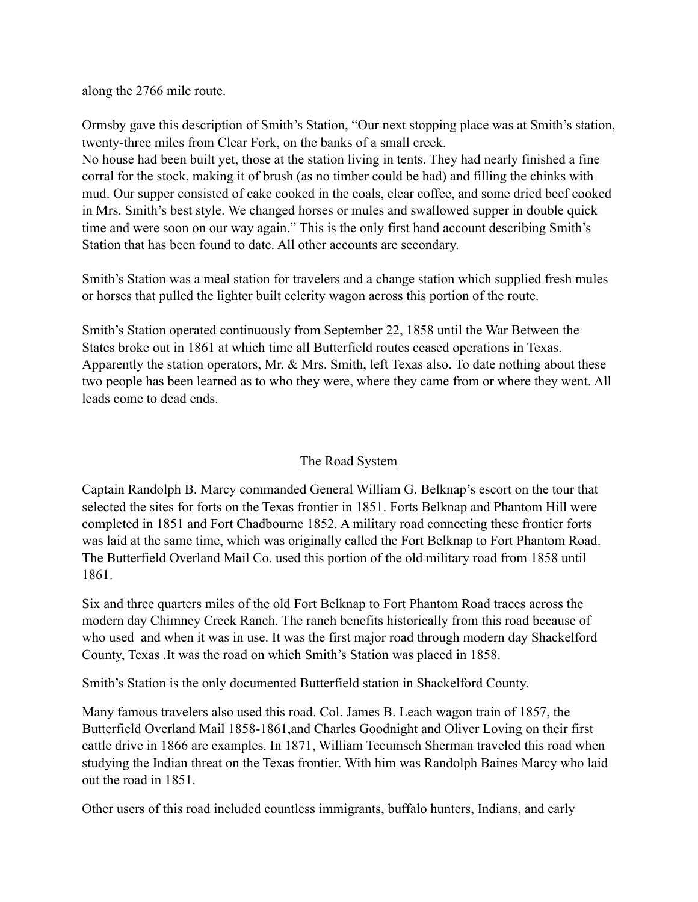along the 2766 mile route.

Ormsby gave this description of Smith's Station, "Our next stopping place was at Smith's station, twenty-three miles from Clear Fork, on the banks of a small creek.

No house had been built yet, those at the station living in tents. They had nearly finished a fine corral for the stock, making it of brush (as no timber could be had) and filling the chinks with mud. Our supper consisted of cake cooked in the coals, clear coffee, and some dried beef cooked in Mrs. Smith's best style. We changed horses or mules and swallowed supper in double quick time and were soon on our way again." This is the only first hand account describing Smith's Station that has been found to date. All other accounts are secondary.

Smith's Station was a meal station for travelers and a change station which supplied fresh mules or horses that pulled the lighter built celerity wagon across this portion of the route.

Smith's Station operated continuously from September 22, 1858 until the War Between the States broke out in 1861 at which time all Butterfield routes ceased operations in Texas. Apparently the station operators, Mr. & Mrs. Smith, left Texas also. To date nothing about these two people has been learned as to who they were, where they came from or where they went. All leads come to dead ends.

### The Road System

Captain Randolph B. Marcy commanded General William G. Belknap's escort on the tour that selected the sites for forts on the Texas frontier in 1851. Forts Belknap and Phantom Hill were completed in 1851 and Fort Chadbourne 1852. A military road connecting these frontier forts was laid at the same time, which was originally called the Fort Belknap to Fort Phantom Road. The Butterfield Overland Mail Co. used this portion of the old military road from 1858 until 1861.

Six and three quarters miles of the old Fort Belknap to Fort Phantom Road traces across the modern day Chimney Creek Ranch. The ranch benefits historically from this road because of who used and when it was in use. It was the first major road through modern day Shackelford County, Texas .It was the road on which Smith's Station was placed in 1858.

Smith's Station is the only documented Butterfield station in Shackelford County.

Many famous travelers also used this road. Col. James B. Leach wagon train of 1857, the Butterfield Overland Mail 1858-1861,and Charles Goodnight and Oliver Loving on their first cattle drive in 1866 are examples. In 1871, William Tecumseh Sherman traveled this road when studying the Indian threat on the Texas frontier. With him was Randolph Baines Marcy who laid out the road in 1851.

Other users of this road included countless immigrants, buffalo hunters, Indians, and early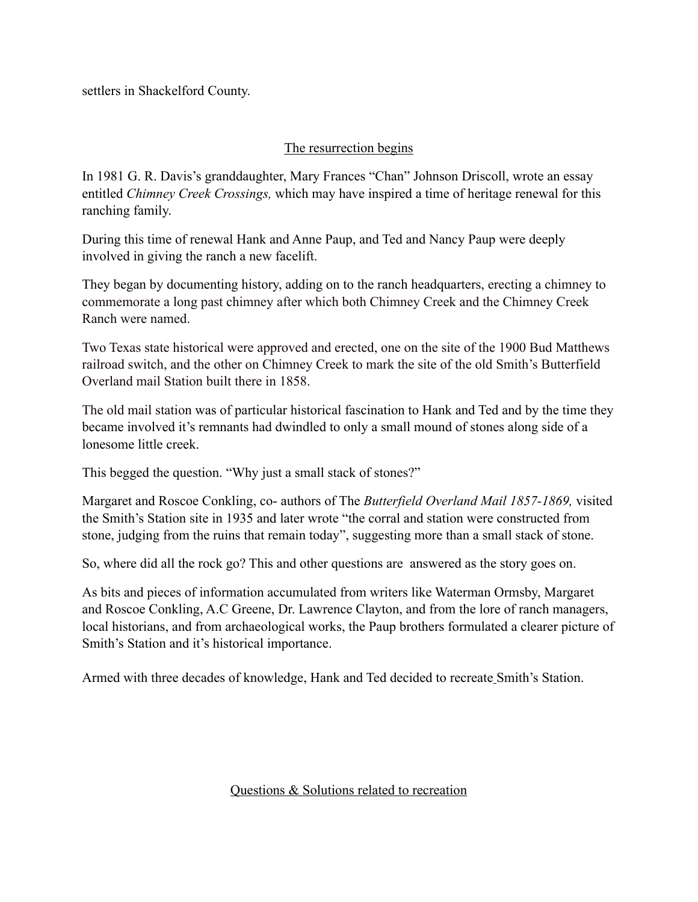settlers in Shackelford County.

### The resurrection begins

In 1981 G. R. Davis's granddaughter, Mary Frances "Chan" Johnson Driscoll, wrote an essay entitled *Chimney Creek Crossings,* which may have inspired a time of heritage renewal for this ranching family.

During this time of renewal Hank and Anne Paup, and Ted and Nancy Paup were deeply involved in giving the ranch a new facelift.

They began by documenting history, adding on to the ranch headquarters, erecting a chimney to commemorate a long past chimney after which both Chimney Creek and the Chimney Creek Ranch were named.

Two Texas state historical were approved and erected, one on the site of the 1900 Bud Matthews railroad switch, and the other on Chimney Creek to mark the site of the old Smith's Butterfield Overland mail Station built there in 1858.

The old mail station was of particular historical fascination to Hank and Ted and by the time they became involved it's remnants had dwindled to only a small mound of stones along side of a lonesome little creek.

This begged the question. "Why just a small stack of stones?"

Margaret and Roscoe Conkling, co- authors of The *Butterfield Overland Mail 1857-1869,* visited the Smith's Station site in 1935 and later wrote "the corral and station were constructed from stone, judging from the ruins that remain today", suggesting more than a small stack of stone.

So, where did all the rock go? This and other questions are answered as the story goes on.

As bits and pieces of information accumulated from writers like Waterman Ormsby, Margaret and Roscoe Conkling, A.C Greene, Dr. Lawrence Clayton, and from the lore of ranch managers, local historians, and from archaeological works, the Paup brothers formulated a clearer picture of Smith's Station and it's historical importance.

Armed with three decades of knowledge, Hank and Ted decided to recreate Smith's Station.

#### Questions & Solutions related to recreation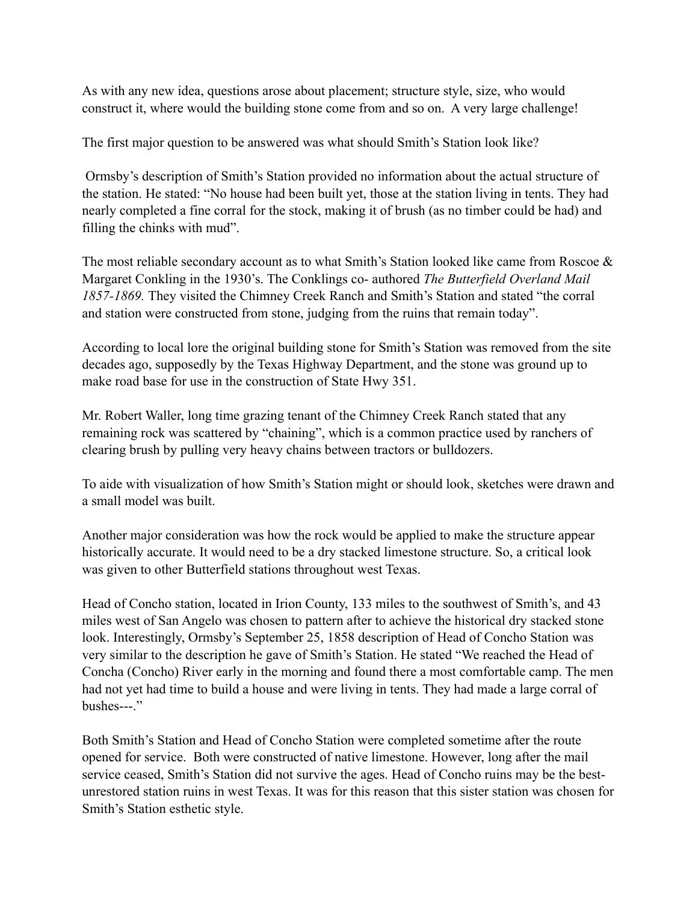As with any new idea, questions arose about placement; structure style, size, who would construct it, where would the building stone come from and so on. A very large challenge!

The first major question to be answered was what should Smith's Station look like?

 Ormsby's description of Smith's Station provided no information about the actual structure of the station. He stated: "No house had been built yet, those at the station living in tents. They had nearly completed a fine corral for the stock, making it of brush (as no timber could be had) and filling the chinks with mud".

The most reliable secondary account as to what Smith's Station looked like came from Roscoe & Margaret Conkling in the 1930's. The Conklings co- authored *The Butterfield Overland Mail 1857-1869.* They visited the Chimney Creek Ranch and Smith's Station and stated "the corral and station were constructed from stone, judging from the ruins that remain today".

According to local lore the original building stone for Smith's Station was removed from the site decades ago, supposedly by the Texas Highway Department, and the stone was ground up to make road base for use in the construction of State Hwy 351.

Mr. Robert Waller, long time grazing tenant of the Chimney Creek Ranch stated that any remaining rock was scattered by "chaining", which is a common practice used by ranchers of clearing brush by pulling very heavy chains between tractors or bulldozers.

To aide with visualization of how Smith's Station might or should look, sketches were drawn and a small model was built.

Another major consideration was how the rock would be applied to make the structure appear historically accurate. It would need to be a dry stacked limestone structure. So, a critical look was given to other Butterfield stations throughout west Texas.

Head of Concho station, located in Irion County, 133 miles to the southwest of Smith's, and 43 miles west of San Angelo was chosen to pattern after to achieve the historical dry stacked stone look. Interestingly, Ormsby's September 25, 1858 description of Head of Concho Station was very similar to the description he gave of Smith's Station. He stated "We reached the Head of Concha (Concho) River early in the morning and found there a most comfortable camp. The men had not yet had time to build a house and were living in tents. They had made a large corral of bushes---."

Both Smith's Station and Head of Concho Station were completed sometime after the route opened for service. Both were constructed of native limestone. However, long after the mail service ceased, Smith's Station did not survive the ages. Head of Concho ruins may be the bestunrestored station ruins in west Texas. It was for this reason that this sister station was chosen for Smith's Station esthetic style.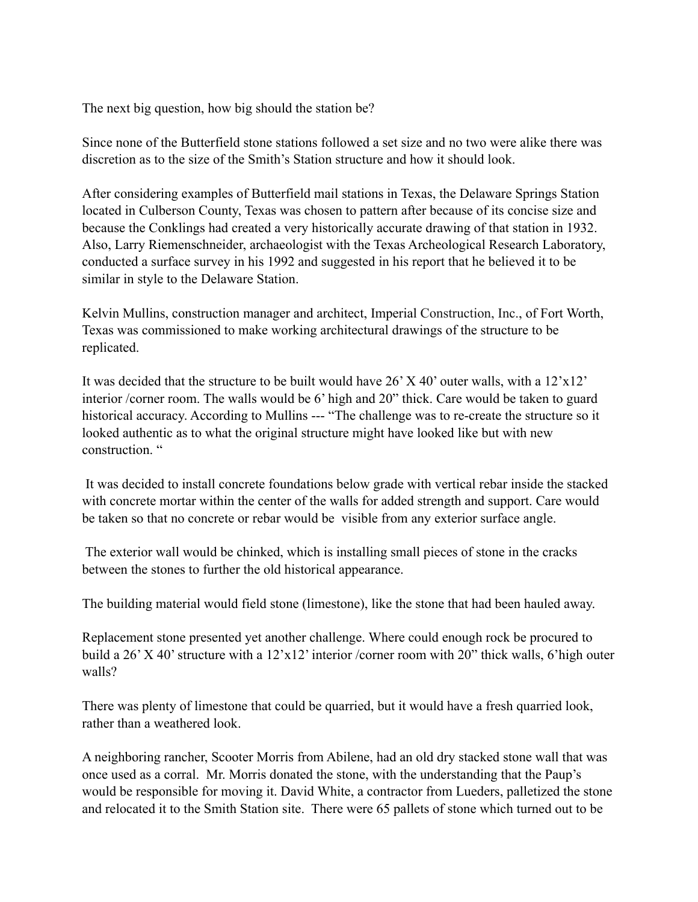The next big question, how big should the station be?

Since none of the Butterfield stone stations followed a set size and no two were alike there was discretion as to the size of the Smith's Station structure and how it should look.

After considering examples of Butterfield mail stations in Texas, the Delaware Springs Station located in Culberson County, Texas was chosen to pattern after because of its concise size and because the Conklings had created a very historically accurate drawing of that station in 1932. Also, Larry Riemenschneider, archaeologist with the Texas Archeological Research Laboratory, conducted a surface survey in his 1992 and suggested in his report that he believed it to be similar in style to the Delaware Station.

Kelvin Mullins, construction manager and architect, Imperial Construction, Inc., of Fort Worth, Texas was commissioned to make working architectural drawings of the structure to be replicated.

It was decided that the structure to be built would have 26' X 40' outer walls, with a 12'x12' interior /corner room. The walls would be 6' high and 20" thick. Care would be taken to guard historical accuracy. According to Mullins --- "The challenge was to re-create the structure so it looked authentic as to what the original structure might have looked like but with new construction "

 It was decided to install concrete foundations below grade with vertical rebar inside the stacked with concrete mortar within the center of the walls for added strength and support. Care would be taken so that no concrete or rebar would be visible from any exterior surface angle.

 The exterior wall would be chinked, which is installing small pieces of stone in the cracks between the stones to further the old historical appearance.

The building material would field stone (limestone), like the stone that had been hauled away.

Replacement stone presented yet another challenge. Where could enough rock be procured to build a 26' X 40' structure with a 12'x12' interior /corner room with 20" thick walls, 6'high outer walls?

There was plenty of limestone that could be quarried, but it would have a fresh quarried look, rather than a weathered look.

A neighboring rancher, Scooter Morris from Abilene, had an old dry stacked stone wall that was once used as a corral. Mr. Morris donated the stone, with the understanding that the Paup's would be responsible for moving it. David White, a contractor from Lueders, palletized the stone and relocated it to the Smith Station site. There were 65 pallets of stone which turned out to be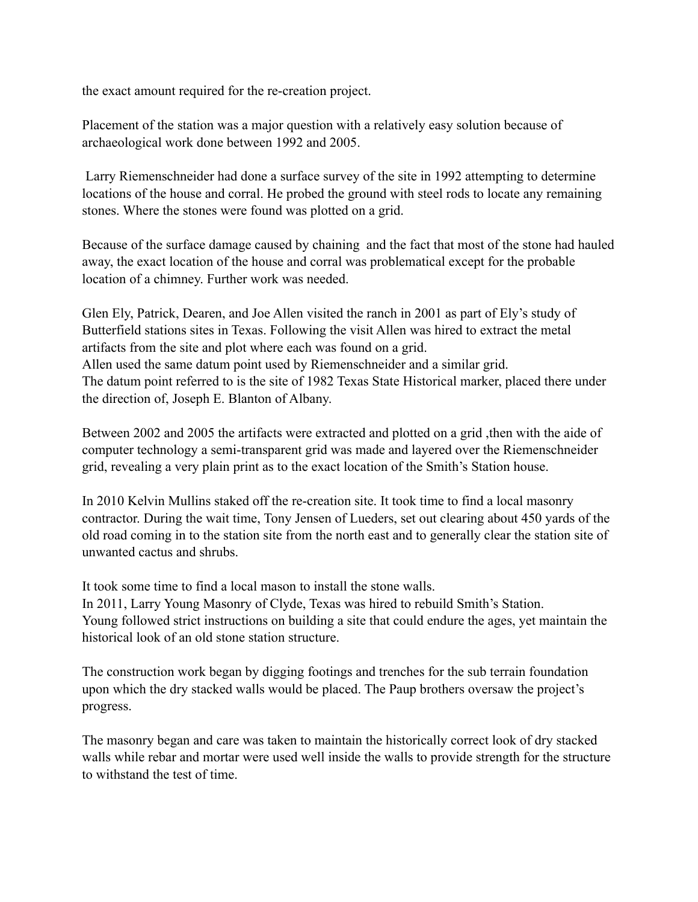the exact amount required for the re-creation project.

Placement of the station was a major question with a relatively easy solution because of archaeological work done between 1992 and 2005.

 Larry Riemenschneider had done a surface survey of the site in 1992 attempting to determine locations of the house and corral. He probed the ground with steel rods to locate any remaining stones. Where the stones were found was plotted on a grid.

Because of the surface damage caused by chaining and the fact that most of the stone had hauled away, the exact location of the house and corral was problematical except for the probable location of a chimney. Further work was needed.

Glen Ely, Patrick, Dearen, and Joe Allen visited the ranch in 2001 as part of Ely's study of Butterfield stations sites in Texas. Following the visit Allen was hired to extract the metal artifacts from the site and plot where each was found on a grid. Allen used the same datum point used by Riemenschneider and a similar grid. The datum point referred to is the site of 1982 Texas State Historical marker, placed there under the direction of, Joseph E. Blanton of Albany.

Between 2002 and 2005 the artifacts were extracted and plotted on a grid ,then with the aide of computer technology a semi-transparent grid was made and layered over the Riemenschneider grid, revealing a very plain print as to the exact location of the Smith's Station house.

In 2010 Kelvin Mullins staked off the re-creation site. It took time to find a local masonry contractor. During the wait time, Tony Jensen of Lueders, set out clearing about 450 yards of the old road coming in to the station site from the north east and to generally clear the station site of unwanted cactus and shrubs.

It took some time to find a local mason to install the stone walls.

In 2011, Larry Young Masonry of Clyde, Texas was hired to rebuild Smith's Station. Young followed strict instructions on building a site that could endure the ages, yet maintain the historical look of an old stone station structure.

The construction work began by digging footings and trenches for the sub terrain foundation upon which the dry stacked walls would be placed. The Paup brothers oversaw the project's progress.

The masonry began and care was taken to maintain the historically correct look of dry stacked walls while rebar and mortar were used well inside the walls to provide strength for the structure to withstand the test of time.